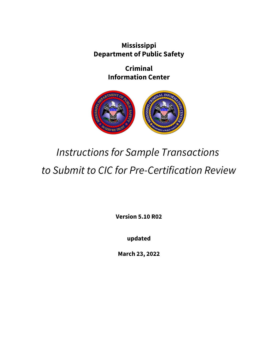**Mississippi Department of Public Safety**

> **Criminal Information Center**



# *Instructions for Sample Transactions to Submit to CIC for Pre-Certification Review*

**Version 5.10 R02**

**updated**

**March 23, 2022**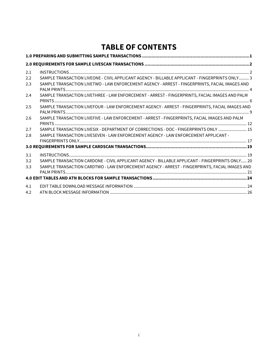## **TABLE OF CONTENTS**

| 2.1 |                                                                                                 |  |
|-----|-------------------------------------------------------------------------------------------------|--|
| 2.2 | SAMPLE TRANSACTION LIVEONE - CIVIL APPLICANT AGENCY - BILLABLE APPLICANT - FINGERPRINTS ONLY 3  |  |
| 2.3 | SAMPLE TRANSACTION LIVETWO - LAW ENFORCEMENT AGENCY - ARREST - FINGERPRINTS, FACIAL IMAGES AND  |  |
| 2.4 | SAMPLE TRANSACTION LIVETHREE - LAW ENFORCEMENT - ARREST - FINGERPRINTS, FACIAL IMAGES AND PALM  |  |
| 2.5 | SAMPLE TRANSACTION LIVEFOUR - LAW ENFORCEMENT AGENCY - ARREST - FINGERPRINTS, FACIAL IMAGES AND |  |
| 2.6 | SAMPLE TRANSACTION LIVEFIVE - LAW ENFORCEMENT - ARREST - FINGERPRINTS, FACIAL IMAGES AND PALM   |  |
| 2.7 | SAMPLE TRANSACTION LIVESIX - DEPARTMENT OF CORRECTIONS - DOC - FINGERPRINTS ONLY  15            |  |
| 2.8 | SAMPLE TRANSACTION LIVESEVEN - LAW ENFORCEMENT AGENCY - LAW ENFORCEMENT APPLICANT -             |  |
|     |                                                                                                 |  |
|     |                                                                                                 |  |
| 3.1 |                                                                                                 |  |
| 3.2 | SAMPLE TRANSACTION CARDONE - CIVIL APPLICANT AGENCY - BILLABLE APPLICANT - FINGERPRINTS ONLY 20 |  |
| 3.3 | SAMPLE TRANSACTION CARDTWO - LAW ENFORCEMENT AGENCY - ARREST - FINGERPRINTS, FACIAL IMAGES AND  |  |
|     |                                                                                                 |  |
| 4.1 |                                                                                                 |  |
| 4.2 |                                                                                                 |  |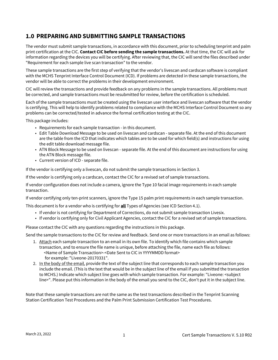### <span id="page-2-0"></span>**1.0 PREPARING AND SUBMITTING SAMPLE TRANSACTIONS**

The vendor must submit sample transactions, in accordance with this document, prior to scheduling tenprint and palm print certification at the CIC. **Contact CIC before sending the sample transactions.** At that time, the CIC will ask for information regarding the devices you will be certifying. After reviewing that, the CIC will send the files described under "Requirement for each sample live scan transaction" to the vendor.

These sample transactions are the first step of verifying that the vendor's livescan and cardscan software is compliant with the MCHS Tenprint Interface Control Document (ICD). If problems are detected in these sample transactions, the vendor will be able to correct the problems in their development environment.

CIC will review the transactions and provide feedback on any problems in the sample transactions. All problems must be corrected, and sample transactions must be resubmitted for review, before the certification is scheduled.

Each of the sample transactions must be created using the livescan user interface and livescan software that the vendor is certifying. This will help to identify problems related to compliance with the MCHS Interface Control Document so any problems can be corrected/tested in advance the formal certification testing at the CIC.

This package includes:

- Requirements for each sample transaction in this document.
- Edit Table Download Message to be used on livescan and cardscan separate file. At the end of this document are the table from the ICD that indicates which tables are to be used for which field(s) and instructions for using the edit table download message file.
- ATN Block Message to be used on livescan separate file. At the end of this document are instructions for using the ATN Block message file.
- Current version of ICD separate file.

If the vendor is certifying only a livescan, do not submit the sample transactions in Section 3.

If the vendor is certifying only a cardscan, contact the CIC for a revised set of sample transactions.

If vendor configuration does not include a camera, ignore the Type 10 facial image requirements in each sample transaction.

If vendor certifying only ten-print scanners, ignore the Type 15 palm print requirements in each sample transaction.

This document is for a vendor who is certifying for **all** Types of Agencies (see ICD Section 4.1).

- If vendor is not certifying for Department of Corrections, do not submit sample transaction Livesix.
- If vendor is certifying only for Civil Applicant Agencies, contact the CIC for a revised set of sample transactions.

Please contact the CIC with any questions regarding the instructions in this package.

Send the sample transactions to the CIC for review and feedback. Send one or more transactions in an email as follows:

- 1. Attach each sample transaction to an email in its own file. To identify which file contains which sample transaction, and to ensure the file name is unique, before attaching the file, name each file as follows: <Name of Sample Transaction>-<Date Sent to CIC in YYYYMMDD format> for example: "Liveone-20170331".
- 2. <u>In the body of the email</u>, provide the text of the subject line that corresponds to each sample transaction you include the email. (This is the text that would be in the subject line of the email if you submitted the transaction to MCHS.) Indicate which subject line goes with which sample transaction. For example: "Liveone: <subject line>". Please put this information in the body of the email you send to the CIC, don't put it in the subject line.

Note that these sample transactions are not the same as the test transactions described in the Tenprint Scanning Station Certification Test Procedures and the Palm Print Submission Certification Test Procedures.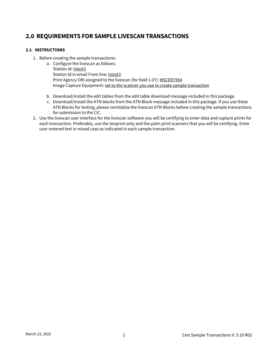## <span id="page-3-0"></span>**2.0 REQUIREMENTS FOR SAMPLE LIVESCAN TRANSACTIONS**

#### <span id="page-3-1"></span>**2.1 INSTRUCTIONS**

- 1. Before creating the sample transactions:
	- a. Configure the livescan as follows: Station id: lstest3 Station Id in email From line: Istest3 Print Agency ORI assigned to the livescan (for field 1.07): MSCERT954 Image Capture Equipment: set to the scanner you use to create sample transaction
	- b. Download/install the edit tables from the edit table download message included in this package.
	- c. Download/install the ATN blocks from the ATN Block message included in this package. If you use these ATN Blocks for testing, please reinitialize the livescan ATN Blocks before creating the sample transactions for submission to the CIC.
- 2. Use the livescan user interface for the livescan software you will be certifying to enter data and capture prints for each transaction. Preferably, use the tenprint-only and the palm print scanners that you will be certifying. Enter user-entered text in mixed case as indicated in each sample transaction.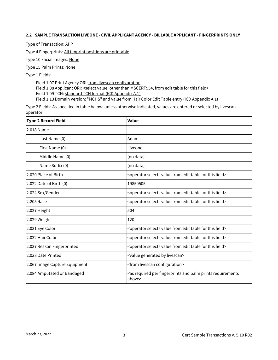#### <span id="page-4-0"></span>**2.2 SAMPLE TRANSACTION LIVEONE - CIVIL APPLICANT AGENCY - BILLABLE APPLICANT - FINGERPRINTS ONLY**

Type of Transaction: APP

Type 4 Fingerprints: All tenprint positions are printable

Type 10 Facial Images: None

Type 15 Palm Prints: None

Type 1 Fields:

Field 1.07 Print Agency ORI: from livescan configuration Field 1.08 Applicant ORI: <select value, other than MSCERT954, from edit table for this field> Field 1.09 TCN: standard TCN format (ICD Appendix A.1) Field 1.13 Domain Version: "MCHS" and value from Hair Color Edit Table entry (ICD Appendix A.1)

| <b>Type 2 Record Field</b>              | Value                                                                                             |
|-----------------------------------------|---------------------------------------------------------------------------------------------------|
| l2.018 Name                             |                                                                                                   |
| Last Name (0)                           | Adams                                                                                             |
| First Name (0)                          | Liveone                                                                                           |
| Middle Name (0)                         | (no data)                                                                                         |
| Name Suffix (0)                         | (no data)                                                                                         |
| l2.020 Place of Birth                   | <operator edit="" field="" for="" from="" selects="" table="" this="" value=""></operator>        |
| $\vert$ 2.022 Date of Birth $\vert$ (0) | 19850505                                                                                          |
| 2.024 Sex/Gender                        | <operator edit="" field="" for="" from="" selects="" table="" this="" value=""></operator>        |
| 2.205 Race                              | <operator edit="" field="" for="" from="" selects="" table="" this="" value=""></operator>        |
| 2.027 Height                            | 504                                                                                               |
| 2.029 Weight                            | 120                                                                                               |
| 2.031 Eye Color                         | <operator edit="" field="" for="" from="" selects="" table="" this="" value=""></operator>        |
| l2.032 Hair Color                       | <operator edit="" field="" for="" from="" selects="" table="" this="" value=""></operator>        |
| 2.037 Reason Fingerprinted              | <operator edit="" field="" for="" from="" selects="" table="" this="" value=""></operator>        |
| l2.038 Date Printed                     | <value by="" generated="" livescan=""></value>                                                    |
| 2.067 Image Capture Equipment           | <from configuration="" livescan=""></from>                                                        |
| 2.084 Amputated or Bandaged             | <as and="" fingerprints="" palm="" per="" prints="" required="" requirements<br="">above&gt;</as> |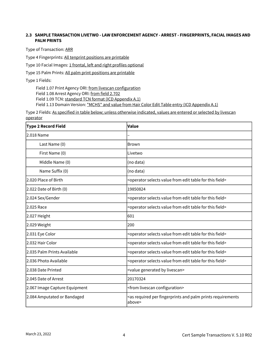#### <span id="page-5-0"></span>**2.3 SAMPLE TRANSACTION LIVETWO - LAW ENFORCEMENT AGENCY - ARREST - FINGERPRINTS, FACIAL IMAGES AND PALM PRINTS**

Type of Transaction: ARR

Type 4 Fingerprints: All tenprint positions are printable

Type 10 Facial Images: 1 frontal, left and right profiles optional

Type 15 Palm Prints: All palm print positions are printable

Type 1 Fields:

Field 1.07 Print Agency ORI: from livescan configuration Field 1.08 Arrest Agency ORI: from field 2.702 Field 1.09 TCN: standard TCN format (ICD Appendix A.1) Field 1.13 Domain Version: "MCHS" and value from Hair Color Edit Table entry (ICD Appendix A.1)

| <b>Type 2 Record Field</b>    | Value                                                                                             |
|-------------------------------|---------------------------------------------------------------------------------------------------|
| l2.018 Name                   |                                                                                                   |
| Last Name (0)                 | <b>Brown</b>                                                                                      |
| First Name (0)                | Livetwo                                                                                           |
| Middle Name (0)               | (no data)                                                                                         |
| Name Suffix (0)               | (no data)                                                                                         |
| 2.020 Place of Birth          | <operator edit="" field="" for="" from="" selects="" table="" this="" value=""></operator>        |
| 2.022 Date of Birth (0)       | 19850824                                                                                          |
| 2.024 Sex/Gender              | <operator edit="" field="" for="" from="" selects="" table="" this="" value=""></operator>        |
| l2.025 Race                   | <operator edit="" field="" for="" from="" selects="" table="" this="" value=""></operator>        |
| 2.027 Height                  | 601                                                                                               |
| 2.029 Weight                  | 200                                                                                               |
| 2.031 Eye Color               | <operator edit="" field="" for="" from="" selects="" table="" this="" value=""></operator>        |
| 2.032 Hair Color              | <operator edit="" field="" for="" from="" selects="" table="" this="" value=""></operator>        |
| 2.035 Palm Prints Available   | <operator edit="" field="" for="" from="" selects="" table="" this="" value=""></operator>        |
| l2.036 Photo Available        | <operator edit="" field="" for="" from="" selects="" table="" this="" value=""></operator>        |
| 2.038 Date Printed            | <value by="" generated="" livescan=""></value>                                                    |
| 2.045 Date of Arrest          | 20170324                                                                                          |
| 2.067 Image Capture Equipment | <from configuration="" livescan=""></from>                                                        |
| 2.084 Amputated or Bandaged   | <as and="" fingerprints="" palm="" per="" prints="" required="" requirements<br="">above&gt;</as> |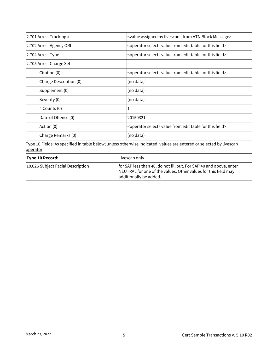| 2.701 Arrest Tracking # | <value -="" assigned="" atn="" block="" by="" from="" livescan="" message=""></value>      |
|-------------------------|--------------------------------------------------------------------------------------------|
| 2.702 Arrest Agency ORI | <operator edit="" field="" for="" from="" selects="" table="" this="" value=""></operator> |
| 2.704 Arrest Type       | <operator edit="" field="" for="" from="" selects="" table="" this="" value=""></operator> |
| 2.705 Arrest Charge Set |                                                                                            |
| Citation (0)            | <operator edit="" field="" for="" from="" selects="" table="" this="" value=""></operator> |
| Charge Description (0)  | (no data)                                                                                  |
| Supplement (0)          | (no data)                                                                                  |
| Severity (0)            | (no data)                                                                                  |
| $#$ Counts $(0)$        |                                                                                            |
| Date of Offense (0)     | 20150321                                                                                   |
| Action (0)              | <operator edit="" field="" for="" from="" selects="" table="" this="" value=""></operator> |
| Charge Remarks (0)      | (no data)                                                                                  |

| <b>Type 10 Record:</b>            | Livescan only                                                                                                                                                  |
|-----------------------------------|----------------------------------------------------------------------------------------------------------------------------------------------------------------|
| 10.026 Subject Facial Description | for SAP less than 40, do not fill out. For SAP 40 and above, enter<br>NEUTRAL for one of the values. Other values for this field may<br>additionally be added. |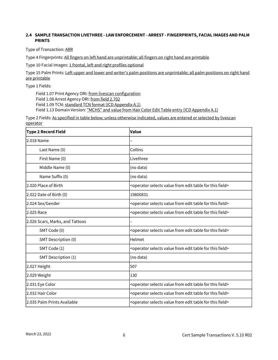#### <span id="page-7-0"></span>**2.4 SAMPLE TRANSACTION LIVETHREE - LAW ENFORCEMENT - ARREST - FINGERPRINTS, FACIAL IMAGES AND PALM PRINTS**

Type of Transaction: ARR

Type 4 Fingerprints: All fingers on left hand are unprintable; all fingers on right hand are printable

Type 10 Facial Images: 1 frontal, left and right profiles optional

Type 15 Palm Prints: Left upper and lower and writer's palm positions are unprintable; all palm positions on right hand are printable

Type 1 Fields:

Field 1.07 Print Agency ORI: from livescan configuration Field 1.08 Arrest Agency ORI: from field 2.702 Field 1.09 TCN: standard TCN format (ICD Appendix A.1)

Field 1.13 Domain Version: "MCHS" and value from Hair Color Edit Table entry (ICD Appendix A.1)

| Type 2 Record Field             | Value                                                                                      |
|---------------------------------|--------------------------------------------------------------------------------------------|
| l2.018 Name                     |                                                                                            |
| Last Name (0)                   | Collins                                                                                    |
| First Name (0)                  | Livethree                                                                                  |
| Middle Name (0)                 | (no data)                                                                                  |
| Name Suffix (0)                 | (no data)                                                                                  |
| 2.020 Place of Birth            | <operator edit="" field="" for="" from="" selects="" table="" this="" value=""></operator> |
| 2.022 Date of Birth (0)         | 19800831                                                                                   |
| 2.024 Sex/Gender                | <operator edit="" field="" for="" from="" selects="" table="" this="" value=""></operator> |
| l2.025 Race                     | <operator edit="" field="" for="" from="" selects="" table="" this="" value=""></operator> |
| 2.026 Scars, Marks, and Tattoos |                                                                                            |
| SMT Code (0)                    | <operator edit="" field="" for="" from="" selects="" table="" this="" value=""></operator> |
| SMT Description (0)             | Helmet                                                                                     |
| SMT Code (1)                    | <operator edit="" field="" for="" from="" selects="" table="" this="" value=""></operator> |
| SMT Description (1)             | (no data)                                                                                  |
| 2.027 Height                    | 507                                                                                        |
| 2.029 Weight                    | 130                                                                                        |
| 2.031 Eye Color                 | <operator edit="" field="" for="" from="" selects="" table="" this="" value=""></operator> |
| l2.032 Hair Color               | <operator edit="" field="" for="" from="" selects="" table="" this="" value=""></operator> |
| 2.035 Palm Prints Available     | <operator edit="" field="" for="" from="" selects="" table="" this="" value=""></operator> |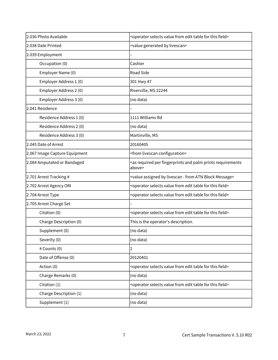| 2.036 Photo Available         | <operator edit="" field="" for="" from="" selects="" table="" this="" value=""></operator>        |
|-------------------------------|---------------------------------------------------------------------------------------------------|
| 2.038 Date Printed            | <value by="" generated="" livescan=""></value>                                                    |
| 2.039 Employment              |                                                                                                   |
| Occupation (0)                | Cashier                                                                                           |
| Employer Name (0)             | Road Side                                                                                         |
| Employer Address 1 (0)        | 301 Hwy 47                                                                                        |
| Employer Address 2 (0)        | Riverville, MS 22244                                                                              |
| Employer Address 3 (0)        | (no data)                                                                                         |
| 2.041 Residence               |                                                                                                   |
| Residence Address 1 (0)       | 1111 Williams Rd                                                                                  |
| Residence Address 2 (0)       | (no data)                                                                                         |
| Residence Address 3 (0)       | Martinville, MS                                                                                   |
| 2.045 Date of Arrest          | 20160405                                                                                          |
| 2.067 Image Capture Equipment | <from configuration="" livescan=""></from>                                                        |
| 2.084 Amputated or Bandaged   | <as and="" fingerprints="" palm="" per="" prints="" required="" requirements<br="">above&gt;</as> |
| 2.701 Arrest Tracking #       | <value -="" assigned="" atn="" block="" by="" from="" livescan="" message=""></value>             |
| 2.702 Arrest Agency ORI       | <operator edit="" field="" for="" from="" selects="" table="" this="" value=""></operator>        |
| 2.704 Arrest Type             | <operator edit="" field="" for="" from="" selects="" table="" this="" value=""></operator>        |
| 2.705 Arrest Charge Set       |                                                                                                   |
| Citation (0)                  | <operator edit="" field="" for="" from="" selects="" table="" this="" value=""></operator>        |
| Charge Description (0)        | This is the operator's description.                                                               |
| Supplement (0)                | (no data)                                                                                         |
| Severity (0)                  | (no data)                                                                                         |
| # Counts (0)                  | 2                                                                                                 |
| Date of Offense (0)           | 20120401                                                                                          |
| Action (0)                    | <operator edit="" field="" for="" from="" selects="" table="" this="" value=""></operator>        |
| Charge Remarks (0)            | (no data)                                                                                         |
| Citation (1)                  | <operator edit="" field="" for="" from="" selects="" table="" this="" value=""></operator>        |
| Charge Description (1)        | (no data)                                                                                         |
| Supplement (1)                | (no data)                                                                                         |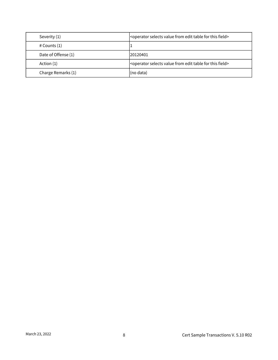| Severity (1)        | <operator edit="" field="" for="" from="" selects="" table="" this="" value=""></operator> |
|---------------------|--------------------------------------------------------------------------------------------|
| $#$ Counts $(1)$    |                                                                                            |
| Date of Offense (1) | 20120401                                                                                   |
| Action (1)          | <operator edit="" field="" for="" from="" selects="" table="" this="" value=""></operator> |
| Charge Remarks (1)  | (no data)                                                                                  |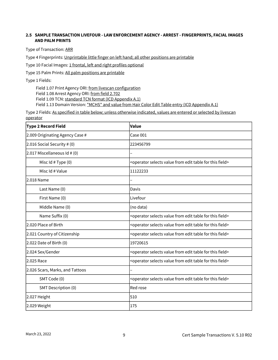#### <span id="page-10-0"></span>**2.5 SAMPLE TRANSACTION LIVEFOUR - LAW ENFORCEMENT AGENCY - ARREST - FINGERPRINTS, FACIAL IMAGES AND PALM PRINTS**

Type of Transaction: ARR

Type 4 Fingerprints: Unprintable little finger on left hand; all other positions are printable

Type 10 Facial Images: 1 frontal, left and right profiles optional

Type 15 Palm Prints: All palm positions are printable

Type 1 Fields:

Field 1.07 Print Agency ORI: from livescan configuration Field 1.08 Arrest Agency ORI: from field 2.702 Field 1.09 TCN: standard TCN format (ICD Appendix A.1) Field 1.13 Domain Version: "MCHS" and value from Hair Color Edit Table entry (ICD Appendix A.1)

| <b>Type 2 Record Field</b>      | Value                                                                                      |
|---------------------------------|--------------------------------------------------------------------------------------------|
| 2.009 Originating Agency Case # | Case 001                                                                                   |
| 2.016 Social Security # (0)     | 223456799                                                                                  |
| $2.017$ Miscellaneous Id # (0)  |                                                                                            |
| Misc $Id$ # Type $(0)$          | <operator edit="" field="" for="" from="" selects="" table="" this="" value=""></operator> |
| Misc Id # Value                 | 11122233                                                                                   |
| 2.018 Name                      |                                                                                            |
| Last Name (0)                   | Davis                                                                                      |
| First Name (0)                  | Livefour                                                                                   |
| Middle Name (0)                 | (no data)                                                                                  |
| Name Suffix (0)                 | <operator edit="" field="" for="" from="" selects="" table="" this="" value=""></operator> |
| 2.020 Place of Birth            | <operator edit="" field="" for="" from="" selects="" table="" this="" value=""></operator> |
| 2.021 Country of Citizenship    | <operator edit="" field="" for="" from="" selects="" table="" this="" value=""></operator> |
| $2.022$ Date of Birth $(0)$     | 19720615                                                                                   |
| 2.024 Sex/Gender                | <operator edit="" field="" for="" from="" selects="" table="" this="" value=""></operator> |
| 2.025 Race                      | <operator edit="" field="" for="" from="" selects="" table="" this="" value=""></operator> |
| 2.026 Scars, Marks, and Tattoos |                                                                                            |
| SMT Code (0)                    | <operator edit="" field="" for="" from="" selects="" table="" this="" value=""></operator> |
| SMT Description (0)             | Red rose                                                                                   |
| 2.027 Height                    | 510                                                                                        |
| 2.029 Weight                    | 175                                                                                        |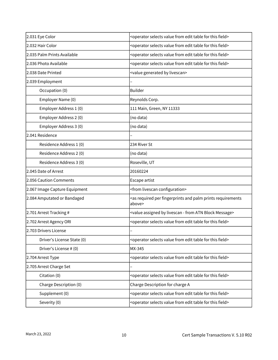| 2.031 Eye Color               | <operator edit="" field="" for="" from="" selects="" table="" this="" value=""></operator>        |
|-------------------------------|---------------------------------------------------------------------------------------------------|
| 2.032 Hair Color              | <operator edit="" field="" for="" from="" selects="" table="" this="" value=""></operator>        |
| 2.035 Palm Prints Available   | <operator edit="" field="" for="" from="" selects="" table="" this="" value=""></operator>        |
| 2.036 Photo Available         | <operator edit="" field="" for="" from="" selects="" table="" this="" value=""></operator>        |
| 2.038 Date Printed            | <value by="" generated="" livescan=""></value>                                                    |
| 2.039 Employment              |                                                                                                   |
| Occupation (0)                | <b>Builder</b>                                                                                    |
| Employer Name (0)             | Reynolds Corp.                                                                                    |
| Employer Address 1 (0)        | 111 Main, Green, NY 11333                                                                         |
| Employer Address 2 (0)        | (no data)                                                                                         |
| Employer Address 3 (0)        | (no data)                                                                                         |
| 2.041 Residence               |                                                                                                   |
| Residence Address 1 (0)       | 234 River St                                                                                      |
| Residence Address 2 (0)       | (no data)                                                                                         |
| Residence Address 3 (0)       | Roseville, UT                                                                                     |
| 2.045 Date of Arrest          | 20160224                                                                                          |
| 2.056 Caution Comments        | Escape artist                                                                                     |
| 2.067 Image Capture Equipment | <from configuration="" livescan=""></from>                                                        |
| 2.084 Amputated or Bandaged   | <as and="" fingerprints="" palm="" per="" prints="" required="" requirements<br="">above&gt;</as> |
| 2.701 Arrest Tracking #       | <value -="" assigned="" atn="" block="" by="" from="" livescan="" message=""></value>             |
| 2.702 Arrest Agency ORI       | <operator edit="" field="" for="" from="" selects="" table="" this="" value=""></operator>        |
| 2.703 Drivers License         |                                                                                                   |
| Driver's License State (0)    | <operator edit="" field="" for="" from="" selects="" table="" this="" value=""></operator>        |
| Driver's License # (0)        | MX-345                                                                                            |
| 2.704 Arrest Type             | <operator edit="" field="" for="" from="" selects="" table="" this="" value=""></operator>        |
| 2.705 Arrest Charge Set       |                                                                                                   |
| Citation (0)                  | <operator edit="" field="" for="" from="" selects="" table="" this="" value=""></operator>        |
| Charge Description (0)        | Charge Description for charge A                                                                   |
| Supplement (0)                | <operator edit="" field="" for="" from="" selects="" table="" this="" value=""></operator>        |
| Severity (0)                  | <operator edit="" field="" for="" from="" selects="" table="" this="" value=""></operator>        |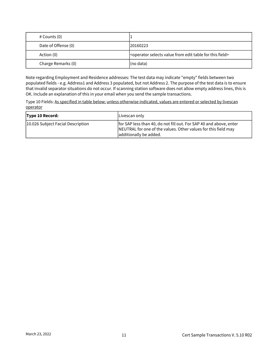| # Counts (0)        |                                                                                            |
|---------------------|--------------------------------------------------------------------------------------------|
| Date of Offense (0) | 120160223                                                                                  |
| Action (0)          | <operator edit="" field="" for="" from="" selects="" table="" this="" value=""></operator> |
| Charge Remarks (0)  | (no data)                                                                                  |

Note regarding Employment and Residence addresses: The test data may indicate "empty" fields between two populated fields - e.g. Address1 and Address 3 populated, but not Address 2. The purpose of the test data is to ensure that invalid separator situations do not occur. If scanning station software does not allow empty address lines, this is OK. Include an explanation of this in your email when you send the sample transactions.

| Type 10 Record:                   | Livescan only                                                                                                                                                  |
|-----------------------------------|----------------------------------------------------------------------------------------------------------------------------------------------------------------|
| 10.026 Subject Facial Description | for SAP less than 40, do not fill out. For SAP 40 and above, enter<br>NEUTRAL for one of the values. Other values for this field may<br>additionally be added. |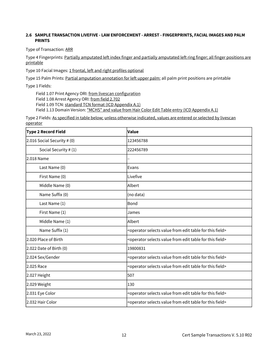#### <span id="page-13-0"></span>**2.6 SAMPLE TRANSACTION LIVEFIVE - LAW ENFORCEMENT - ARREST - FINGERPRINTS, FACIAL IMAGES AND PALM PRINTS**

Type of Transaction: ARR

Type 4 Fingerprints: Partially amputated left index finger and partially amputated left ring finger; all finger positions are printable

Type 10 Facial Images: 1 frontal, left and right profiles optional

Type 15 Palm Prints: Partial amputation annotation for left upper palm; all palm print positions are printable

Type 1 Fields:

Field 1.07 Print Agency ORI: from livescan configuration

Field 1.08 Arrest Agency ORI: from field 2.702

Field 1.09 TCN: standard TCN format (ICD Appendix A.1)

Field 1.13 Domain Version: "MCHS" and value from Hair Color Edit Table entry (ICD Appendix A.1)

| <b>Type 2 Record Field</b>  | Value                                                                                      |
|-----------------------------|--------------------------------------------------------------------------------------------|
| 2.016 Social Security # (0) | 123456788                                                                                  |
| Social Security # (1)       | 222456789                                                                                  |
| 2.018 Name                  |                                                                                            |
| Last Name (0)               | Evans                                                                                      |
| First Name (0)              | Livefive                                                                                   |
| Middle Name (0)             | lAlbert                                                                                    |
| Name Suffix (0)             | (no data)                                                                                  |
| Last Name (1)               | Bond                                                                                       |
| First Name (1)              | James                                                                                      |
| Middle Name (1)             | Albert                                                                                     |
| Name Suffix (1)             | <operator edit="" field="" for="" from="" selects="" table="" this="" value=""></operator> |
| 2.020 Place of Birth        | <operator edit="" field="" for="" from="" selects="" table="" this="" value=""></operator> |
| 2.022 Date of Birth (0)     | 19800831                                                                                   |
| 2.024 Sex/Gender            | <operator edit="" field="" for="" from="" selects="" table="" this="" value=""></operator> |
| 2.025 Race                  | <operator edit="" field="" for="" from="" selects="" table="" this="" value=""></operator> |
| 2.027 Height                | 507                                                                                        |
| 2.029 Weight                | 130                                                                                        |
| 2.031 Eye Color             | <operator edit="" field="" for="" from="" selects="" table="" this="" value=""></operator> |
| 2.032 Hair Color            | <operator edit="" field="" for="" from="" selects="" table="" this="" value=""></operator> |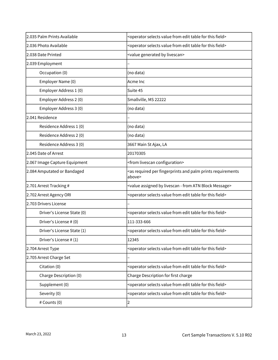| 2.035 Palm Prints Available   | <operator edit="" field="" for="" from="" selects="" table="" this="" value=""></operator>        |
|-------------------------------|---------------------------------------------------------------------------------------------------|
| 2.036 Photo Available         | <operator edit="" field="" for="" from="" selects="" table="" this="" value=""></operator>        |
| l2.038 Date Printed           | <value by="" generated="" livescan=""></value>                                                    |
| 2.039 Employment              |                                                                                                   |
| Occupation (0)                | (no data)                                                                                         |
| Employer Name (0)             | Acme Inc                                                                                          |
| Employer Address 1 (0)        | Suite 45                                                                                          |
| Employer Address 2 (0)        | Smallville, MS 22222                                                                              |
| Employer Address 3 (0)        | (no data)                                                                                         |
| 2.041 Residence               |                                                                                                   |
| Residence Address 1 (0)       | (no data)                                                                                         |
| Residence Address 2 (0)       | (no data)                                                                                         |
| Residence Address 3 (0)       | 3667 Main St Ajax, LA                                                                             |
| 2.045 Date of Arrest          | 20170305                                                                                          |
| 2.067 Image Capture Equipment | <from configuration="" livescan=""></from>                                                        |
| 2.084 Amputated or Bandaged   | <as and="" fingerprints="" palm="" per="" prints="" required="" requirements<br="">above&gt;</as> |
| 2.701 Arrest Tracking #       | <value -="" assigned="" atn="" block="" by="" from="" livescan="" message=""></value>             |
| 2.702 Arrest Agency ORI       | <operator edit="" field="" for="" from="" selects="" table="" this="" value=""></operator>        |
| 2.703 Drivers License         |                                                                                                   |
| Driver's License State (0)    | <operator edit="" field="" for="" from="" selects="" table="" this="" value=""></operator>        |
| Driver's License # (0)        | 111-333-666                                                                                       |
| Driver's License State (1)    | <operator edit="" field="" for="" from="" selects="" table="" this="" value=""></operator>        |
| Driver's License # (1)        | 12345                                                                                             |
| 2.704 Arrest Type             | <operator edit="" field="" for="" from="" selects="" table="" this="" value=""></operator>        |
| 2.705 Arrest Charge Set       |                                                                                                   |
| Citation (0)                  | <operator edit="" field="" for="" from="" selects="" table="" this="" value=""></operator>        |
| Charge Description (0)        | Charge Description for first charge                                                               |
| Supplement (0)                | <operator edit="" field="" for="" from="" selects="" table="" this="" value=""></operator>        |
| Severity (0)                  | <operator edit="" field="" for="" from="" selects="" table="" this="" value=""></operator>        |
| # Counts (0)                  | 2                                                                                                 |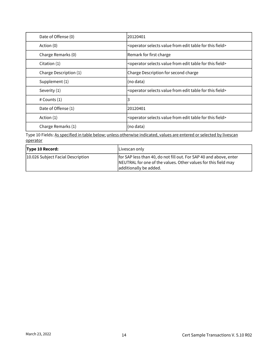| Date of Offense (0)    | 20120401                                                                                   |
|------------------------|--------------------------------------------------------------------------------------------|
| Action (0)             | <operator edit="" field="" for="" from="" selects="" table="" this="" value=""></operator> |
| Charge Remarks (0)     | Remark for first charge                                                                    |
| Citation (1)           | <operator edit="" field="" for="" from="" selects="" table="" this="" value=""></operator> |
| Charge Description (1) | Charge Description for second charge                                                       |
| Supplement (1)         | (no data)                                                                                  |
| Severity (1)           | <operator edit="" field="" for="" from="" selects="" table="" this="" value=""></operator> |
| # Counts (1)           | 3                                                                                          |
| Date of Offense (1)    | 20120401                                                                                   |
| Action (1)             | <operator edit="" field="" for="" from="" selects="" table="" this="" value=""></operator> |
| Charge Remarks (1)     | (no data)                                                                                  |

| <b>Type 10 Record:</b>            | Livescan only                                                                                                                                                  |
|-----------------------------------|----------------------------------------------------------------------------------------------------------------------------------------------------------------|
| 10.026 Subject Facial Description | for SAP less than 40, do not fill out. For SAP 40 and above, enter<br>NEUTRAL for one of the values. Other values for this field may<br>additionally be added. |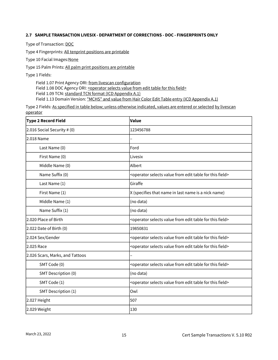#### <span id="page-16-0"></span>**2.7 SAMPLE TRANSACTION LIVESIX - DEPARTMENT OF CORRECTIONS - DOC - FINGERPRINTS ONLY**

Type of Transaction: DOC

Type 4 Fingerprints: All tenprint positions are printable

Type 10 Facial Images: None

Type 15 Palm Prints: All palm print positions are printable

Type 1 Fields:

Field 1.07 Print Agency ORI: from livescan configuration Field 1.08 DOC Agency ORI: < operator selects value from edit table for this field> Field 1.09 TCN: standard TCN format (ICD Appendix A.1) Field 1.13 Domain Version: "MCHS" and value from Hair Color Edit Table entry (ICD Appendix A.1)

| Type 2 Record Field             | Value                                                                                      |
|---------------------------------|--------------------------------------------------------------------------------------------|
| $2.016$ Social Security # $(0)$ | 123456788                                                                                  |
| 2.018 Name                      |                                                                                            |
| Last Name (0)                   | Ford                                                                                       |
| First Name (0)                  | Livesix                                                                                    |
| Middle Name (0)                 | Albert                                                                                     |
| Name Suffix (0)                 | <operator edit="" field="" for="" from="" selects="" table="" this="" value=""></operator> |
| Last Name (1)                   | Giraffe                                                                                    |
| First Name (1)                  | X (specifies that name in last name is a nick name)                                        |
| Middle Name (1)                 | (no data)                                                                                  |
| Name Suffix (1)                 | (no data)                                                                                  |
| 2.020 Place of Birth            | <operator edit="" field="" for="" from="" selects="" table="" this="" value=""></operator> |
| 2.022 Date of Birth (0)         | 19850831                                                                                   |
| 2.024 Sex/Gender                | <operator edit="" field="" for="" from="" selects="" table="" this="" value=""></operator> |
| 2.025 Race                      | <operator edit="" field="" for="" from="" selects="" table="" this="" value=""></operator> |
| 2.026 Scars, Marks, and Tattoos |                                                                                            |
| SMT Code (0)                    | <operator edit="" field="" for="" from="" selects="" table="" this="" value=""></operator> |
| SMT Description (0)             | (no data)                                                                                  |
| SMT Code (1)                    | <operator edit="" field="" for="" from="" selects="" table="" this="" value=""></operator> |
| SMT Description (1)             | Owl                                                                                        |
| 2.027 Height                    | 507                                                                                        |
| 2.029 Weight                    | 130                                                                                        |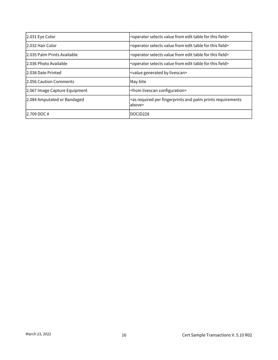| 2.031 Eye Color               | <operator edit="" field="" for="" from="" selects="" table="" this="" value=""></operator>         |
|-------------------------------|----------------------------------------------------------------------------------------------------|
| 2.032 Hair Color              | <operator edit="" field="" for="" from="" selects="" table="" this="" value=""></operator>         |
| 2.035 Palm Prints Available   | <operator edit="" field="" for="" from="" selects="" table="" this="" value=""></operator>         |
| 12.036 Photo Available        | <operator edit="" field="" for="" from="" selects="" table="" this="" value=""></operator>         |
| 2.038 Date Printed            | <value by="" generated="" livescan=""></value>                                                     |
| 12.056 Caution Comments       | May bite                                                                                           |
| 2.067 Image Capture Equipment | <from configuration="" livescan=""></from>                                                         |
| 2.084 Amputated or Bandaged   | <as and="" fingerprints="" palm="" per="" prints="" required="" requirements<br="">labove&gt;</as> |
| $12.709$ DOC #                | DOCID <sub>228</sub>                                                                               |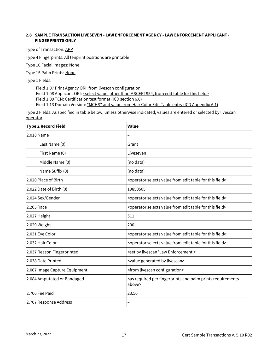#### <span id="page-18-0"></span>**2.8 SAMPLE TRANSACTION LIVESEVEN - LAW ENFORCEMENT AGENCY - LAW ENFORCEMENT APPLICANT - FINGERPRINTS ONLY**

Type of Transaction: APP

Type 4 Fingerprints: All tenprint positions are printable

Type 10 Facial Images: None

Type 15 Palm Prints: None

Type 1 Fields:

Field 1.07 Print Agency ORI: from livescan configuration Field 1.08 Applicant ORI: <select value, other than MSCERT954, from edit table for this field> Field 1.09 TCN: Certification test format (ICD section 6.0) Field 1.13 Domain Version: "MCHS" and value from Hair Color Edit Table entry (ICD Appendix A.1)

| <b>Type 2 Record Field</b>    | Value                                                                                             |
|-------------------------------|---------------------------------------------------------------------------------------------------|
| 2.018 Name                    |                                                                                                   |
| Last Name (0)                 | Grant                                                                                             |
| First Name (0)                | Liveseven                                                                                         |
| Middle Name (0)               | (no data)                                                                                         |
| Name Suffix (0)               | (no data)                                                                                         |
| 2.020 Place of Birth          | <operator edit="" field="" for="" from="" selects="" table="" this="" value=""></operator>        |
| 2.022 Date of Birth (0)       | 19850505                                                                                          |
| 2.024 Sex/Gender              | <operator edit="" field="" for="" from="" selects="" table="" this="" value=""></operator>        |
| 2.205 Race                    | <operator edit="" field="" for="" from="" selects="" table="" this="" value=""></operator>        |
| 2.027 Height                  | 511                                                                                               |
| 2.029 Weight                  | 200                                                                                               |
| 2.031 Eye Color               | <operator edit="" field="" for="" from="" selects="" table="" this="" value=""></operator>        |
| 2.032 Hair Color              | <operator edit="" field="" for="" from="" selects="" table="" this="" value=""></operator>        |
| 2.037 Reason Fingerprinted    | <set 'law="" by="" enforcement'="" livescan=""></set>                                             |
| 2.038 Date Printed            | <value by="" generated="" livescan=""></value>                                                    |
| 2.067 Image Capture Equipment | <from configuration="" livescan=""></from>                                                        |
| 2.084 Amputated or Bandaged   | <as and="" fingerprints="" palm="" per="" prints="" required="" requirements<br="">above&gt;</as> |
| l2.706 Fee Paid               | 23.50                                                                                             |
| 2.707 Response Address        |                                                                                                   |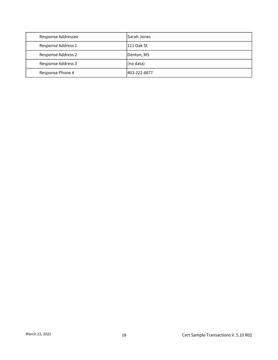| Response Addressee        | lSarah Jones  |
|---------------------------|---------------|
| Response Address 1        | 111 Oak St    |
| <b>Response Address 2</b> | Denton, MS    |
| <b>Response Address 3</b> | (no data)     |
| Response Phone #          | 1403-222-8877 |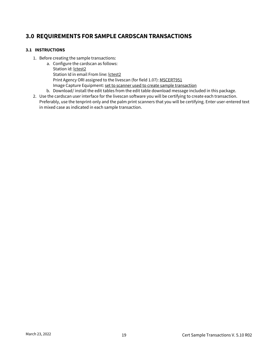## <span id="page-20-0"></span>**3.0 REQUIREMENTS FOR SAMPLE CARDSCAN TRANSACTIONS**

#### <span id="page-20-1"></span>**3.1 INSTRUCTIONS**

- 1. Before creating the sample transactions:
	- a. Configure the cardscan as follows:
		- Station id: lctest2 Station Id in email From line: lctest2
		- Print Agency ORI assigned to the livescan (for field 1.07): MSCERT951
		- Image Capture Equipment: set to scanner used to create sample transaction
	- b. Download/ install the edit tables from the edit table download message included in this package.
- 2. Use the cardscan user interface for the livescan software you will be certifying to create each transaction. Preferably, use the tenprint-only and the palm print scanners that you will be certifying. Enter user-entered text in mixed case as indicated in each sample transaction.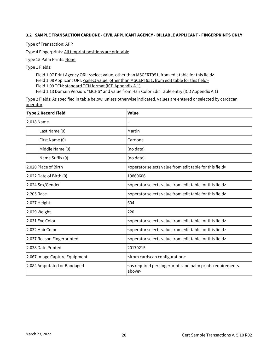#### <span id="page-21-0"></span>**3.2 SAMPLE TRANSACTION CARDONE - CIVIL APPLICANT AGENCY - BILLABLE APPLICANT - FINGERPRINTS ONLY**

Type of Transaction: APP

Type 4 Fingerprints: All tenprint positions are printable

Type 15 Palm Prints: None

Type 1 Fields:

Field 1.07 Print Agency ORI: <select value, other than MSCERT951, from edit table for this field> Field 1.08 Applicant ORI: <select value, other than MSCERT951, from edit table for this field> Field 1.09 TCN: standard TCN format (ICD Appendix A.1) Field 1.13 Domain Version: "MCHS" and value from Hair Color Edit Table entry (ICD Appendix A.1)

| <b>Type 2 Record Field</b>    | <b>Value</b>                                                                                      |
|-------------------------------|---------------------------------------------------------------------------------------------------|
| l2.018 Name                   |                                                                                                   |
| Last Name (0)                 | Martin                                                                                            |
| First Name (0)                | Cardone                                                                                           |
| Middle Name (0)               | (no data)                                                                                         |
| Name Suffix (0)               | (no data)                                                                                         |
| 2.020 Place of Birth          | <operator edit="" field="" for="" from="" selects="" table="" this="" value=""></operator>        |
| 2.022 Date of Birth (0)       | 19860606                                                                                          |
| 2.024 Sex/Gender              | <operator edit="" field="" for="" from="" selects="" table="" this="" value=""></operator>        |
| 2.205 Race                    | <operator edit="" field="" for="" from="" selects="" table="" this="" value=""></operator>        |
| 2.027 Height                  | 604                                                                                               |
| 2.029 Weight                  | 220                                                                                               |
| 2.031 Eye Color               | <operator edit="" field="" for="" from="" selects="" table="" this="" value=""></operator>        |
| 2.032 Hair Color              | <operator edit="" field="" for="" from="" selects="" table="" this="" value=""></operator>        |
| 2.037 Reason Fingerprinted    | <operator edit="" field="" for="" from="" selects="" table="" this="" value=""></operator>        |
| 2.038 Date Printed            | 20170215                                                                                          |
| 2.067 Image Capture Equipment | <from cardscan="" configuration=""></from>                                                        |
| 2.084 Amputated or Bandaged   | <as and="" fingerprints="" palm="" per="" prints="" required="" requirements<br="">above&gt;</as> |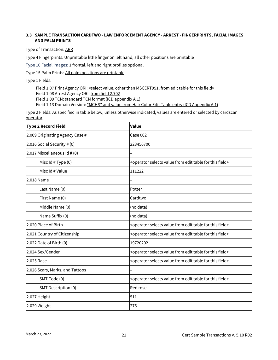#### <span id="page-22-0"></span>**3.3 SAMPLE TRANSACTION CARDTWO - LAW ENFORCEMENT AGENCY - ARREST - FINGERPRINTS, FACIAL IMAGES AND PALM PRINTS**

Type of Transaction: ARR

Type 4 Fingerprints: Unprintable little finger on left hand; all other positions are printable

Type 10 Facial Images: 1 frontal, left and right profiles optional

Type 15 Palm Prints: All palm positions are printable

Type 1 Fields:

Field 1.07 Print Agency ORI: <select value, other than MSCERT951, from edit table for this field> Field 1.08 Arrest Agency ORI: from field 2.702 Field 1.09 TCN: standard TCN format (ICD appendix A.1) Field 1.13 Domain Version: "MCHS" and value from Hair Color Edit Table entry (ICD Appendix A.1)

| <b>Type 2 Record Field</b>      | Value                                                                                      |
|---------------------------------|--------------------------------------------------------------------------------------------|
| 2.009 Originating Agency Case # | Case 002                                                                                   |
| 2.016 Social Security # (0)     | 223456700                                                                                  |
| $2.017$ Miscellaneous Id # (0)  |                                                                                            |
| Misc Id # Type (0)              | <operator edit="" field="" for="" from="" selects="" table="" this="" value=""></operator> |
| Misc Id # Value                 | 111222                                                                                     |
| 2.018 Name                      |                                                                                            |
| Last Name (0)                   | Potter                                                                                     |
| First Name (0)                  | Cardtwo                                                                                    |
| Middle Name (0)                 | (no data)                                                                                  |
| Name Suffix (0)                 | (no data)                                                                                  |
| 2.020 Place of Birth            | <operator edit="" field="" for="" from="" selects="" table="" this="" value=""></operator> |
| 2.021 Country of Citizenship    | <operator edit="" field="" for="" from="" selects="" table="" this="" value=""></operator> |
| 2.022 Date of Birth (0)         | 19720202                                                                                   |
| 2.024 Sex/Gender                | <operator edit="" field="" for="" from="" selects="" table="" this="" value=""></operator> |
| 2.025 Race                      | <operator edit="" field="" for="" from="" selects="" table="" this="" value=""></operator> |
| 2.026 Scars, Marks, and Tattoos |                                                                                            |
| SMT Code (0)                    | <operator edit="" field="" for="" from="" selects="" table="" this="" value=""></operator> |
| SMT Description (0)             | Red rose                                                                                   |
| 2.027 Height                    | 511                                                                                        |
| 2.029 Weight                    | 275                                                                                        |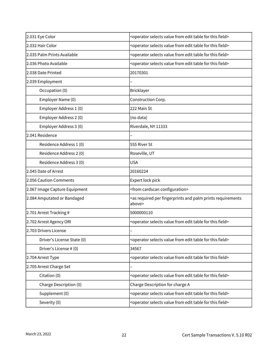| 2.031 Eye Color               | <operator edit="" field="" for="" from="" selects="" table="" this="" value=""></operator>        |
|-------------------------------|---------------------------------------------------------------------------------------------------|
| 2.032 Hair Color              | <operator edit="" field="" for="" from="" selects="" table="" this="" value=""></operator>        |
| 2.035 Palm Prints Available   | <operator edit="" field="" for="" from="" selects="" table="" this="" value=""></operator>        |
| 2.036 Photo Available         | <operator edit="" field="" for="" from="" selects="" table="" this="" value=""></operator>        |
| 2.038 Date Printed            | 20170301                                                                                          |
| 2.039 Employment              |                                                                                                   |
| Occupation (0)                | Bricklayer                                                                                        |
| Employer Name (0)             | Construction Corp.                                                                                |
| Employer Address 1 (0)        | 222 Main St                                                                                       |
| Employer Address 2 (0)        | (no data)                                                                                         |
| Employer Address 3 (0)        | Riverdale, NY 11333                                                                               |
| 2.041 Residence               |                                                                                                   |
| Residence Address 1 (0)       | 555 River St                                                                                      |
| Residence Address 2 (0)       | Roseville, UT                                                                                     |
| Residence Address 3 (0)       | <b>USA</b>                                                                                        |
| 2.045 Date of Arrest          | 20160224                                                                                          |
| 2.056 Caution Comments        | Expert lock pick                                                                                  |
| 2.067 Image Capture Equipment | <from cardscan="" configuration=""></from>                                                        |
| 2.084 Amputated or Bandaged   | <as and="" fingerprints="" palm="" per="" prints="" required="" requirements<br="">above&gt;</as> |
| 2.701 Arrest Tracking #       | 5000000110                                                                                        |
| 2.702 Arrest Agency ORI       | <operator edit="" field="" for="" from="" selects="" table="" this="" value=""></operator>        |
| 2.703 Drivers License         |                                                                                                   |
| Driver's License State (0)    | <operator edit="" field="" for="" from="" selects="" table="" this="" value=""></operator>        |
| Driver's License # (0)        | 34567                                                                                             |
| 2.704 Arrest Type             | <operator edit="" field="" for="" from="" selects="" table="" this="" value=""></operator>        |
| 2.705 Arrest Charge Set       |                                                                                                   |
| Citation (0)                  | <operator edit="" field="" for="" from="" selects="" table="" this="" value=""></operator>        |
| Charge Description (0)        | Charge Description for charge A                                                                   |
| Supplement (0)                | <operator edit="" field="" for="" from="" selects="" table="" this="" value=""></operator>        |
| Severity (0)                  | <operator edit="" field="" for="" from="" selects="" table="" this="" value=""></operator>        |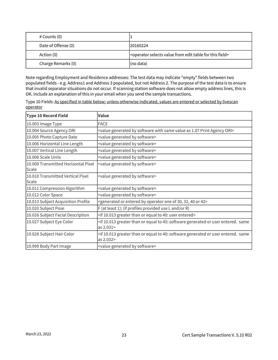| # Counts (0)        |                                                                                            |
|---------------------|--------------------------------------------------------------------------------------------|
| Date of Offense (0) | 20160224                                                                                   |
| Action (0)          | <operator edit="" field="" for="" from="" selects="" table="" this="" value=""></operator> |
| Charge Remarks (0)  | (no data)                                                                                  |

Note regarding Employment and Residence addresses: The test data may indicate "empty" fields between two populated fields - e.g. Address1 and Address 3 populated, but not Address 2. The purpose of the test data is to ensure that invalid separator situations do not occur. If scanning station software does not allow empty address lines, this is OK. Include an explanation of this in your email when you send the sample transactions.

Type 10 Fields: As specified in table below; unless otherwise indicated, values are entered or selected by livescan operator

| <b>Type 10 Record Field</b>                  | <b>Value</b>                                                                                                                           |
|----------------------------------------------|----------------------------------------------------------------------------------------------------------------------------------------|
| 10.003 Image Type                            | <b>FACE</b>                                                                                                                            |
| 10.004 Source Agency ORI                     | <value 1.07="" agency="" as="" by="" generated="" ori="" print="" same="" software="" value="" with=""></value>                        |
| 10.005 Photo Capture Date                    | <value by="" generated="" software=""></value>                                                                                         |
| 10.006 Horizontal Line Length                | <value by="" generated="" software=""></value>                                                                                         |
| 10.007 Vertical Line Length                  | <value by="" generated="" software=""></value>                                                                                         |
| 10.008 Scale Units                           | <value by="" generated="" software=""></value>                                                                                         |
| 10.009 Transmitted Horizontal Pixel<br>Scale | <value by="" generated="" software=""></value>                                                                                         |
| 10.010 Transmitted Vertical Pixel<br>Scale   | <value by="" generated="" software=""></value>                                                                                         |
| 10.011 Compression Algorithm                 | <value by="" generated="" software=""></value>                                                                                         |
| 10.012 Color Space                           | <value by="" generated="" software=""></value>                                                                                         |
| 10.013 Subject Acquisition Profile           | <generated 30,="" 32,="" 40="" 42="" by="" entered="" of="" one="" operator="" or=""></generated>                                      |
| 10.020 Subject Pose                          | F (at least 1); (if profiles provided use L and/or R)                                                                                  |
| 10.026 Subject Facial Description            | <if 10.013="" 40:="" entered="" equal="" greater="" or="" than="" to="" user=""></if>                                                  |
| 10.027 Subject Eye Color                     | <if 10.013="" 40:="" entered.="" equal="" generated="" greater="" or="" same<br="" software="" than="" to="" user="">as 2.031&gt;</if> |
| 10.028 Subject Hair Color                    | <if 10.013="" 40:="" entered.="" equal="" generated="" greater="" or="" same<br="" software="" than="" to="" user="">as 2.032&gt;</if> |
| 10.999 Body Part Image                       | <value by="" generated="" software=""></value>                                                                                         |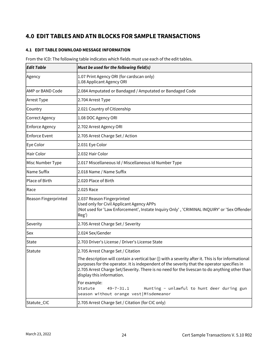## <span id="page-25-0"></span>**4.0 EDIT TABLES AND ATN BLOCKS FOR SAMPLE TRANSACTIONS**

#### <span id="page-25-1"></span>**4.1 EDIT TABLE DOWNLOAD MESSAGE INFORMATION**

From the ICD: The following table indicates which fields must use each of the edit tables.

| <b>Edit Table</b>           | Must be used for the following field(s)                                                                                                                                                                                                                                                                                          |
|-----------------------------|----------------------------------------------------------------------------------------------------------------------------------------------------------------------------------------------------------------------------------------------------------------------------------------------------------------------------------|
| Agency                      | 1.07 Print Agency ORI (for cardscan only)<br>1.08 Applicant Agency ORI                                                                                                                                                                                                                                                           |
| lAMP or BAND Code           | 2.084 Amputated or Bandaged / Amputated or Bandaged Code                                                                                                                                                                                                                                                                         |
| Arrest Type                 | 2.704 Arrest Type                                                                                                                                                                                                                                                                                                                |
| Country                     | 2.021 Country of Citizenship                                                                                                                                                                                                                                                                                                     |
| <b>Correct Agency</b>       | 1.08 DOC Agency ORI                                                                                                                                                                                                                                                                                                              |
| <b>Enforce Agency</b>       | 2.702 Arrest Agency ORI                                                                                                                                                                                                                                                                                                          |
| <b>Enforce Event</b>        | 2.705 Arrest Charge Set / Action                                                                                                                                                                                                                                                                                                 |
| Eye Color                   | 2.031 Eye Color                                                                                                                                                                                                                                                                                                                  |
| Hair Color                  | 2.032 Hair Color                                                                                                                                                                                                                                                                                                                 |
| Misc Number Type            | 2.017 Miscellaneous Id / Miscellaneous Id Number Type                                                                                                                                                                                                                                                                            |
| Name Suffix                 | 2.018 Name / Name Suffix                                                                                                                                                                                                                                                                                                         |
| Place of Birth              | 2.020 Place of Birth                                                                                                                                                                                                                                                                                                             |
| Race                        | 2.025 Race                                                                                                                                                                                                                                                                                                                       |
| <b>Reason Fingerprinted</b> | 2.037 Reason Fingerprinted<br>Used only for Civil Applicant Agency APPs<br>(Not used for 'Law Enforcement', Instate Inquiry Only', 'CRIMINAL INQUIRY' or 'Sex Offender<br>Reg')                                                                                                                                                  |
| Severity                    | 2.705 Arrest Charge Set / Severity                                                                                                                                                                                                                                                                                               |
| Sex                         | 2.024 Sex/Gender                                                                                                                                                                                                                                                                                                                 |
| <b>State</b>                | 2.703 Driver's License / Driver's License State                                                                                                                                                                                                                                                                                  |
| <b>Statute</b>              | 2.705 Arrest Charge Set / Citation                                                                                                                                                                                                                                                                                               |
|                             | The description will contain a vertical bar ( ) with a severity after it. This is for informational<br>purposes for the operator. It is independent of the severity that the operator specifies in<br>2.705 Arrest Charge Set/Severity. There is no need for the livescan to do anything other than<br>display this information. |
|                             | For example:<br>Hunting - unlawful to hunt deer during gun<br>Statute<br>$49 - 7 - 31.1$<br>season without orange vest   Misdemeanor                                                                                                                                                                                             |
| Statute_CIC                 | 2.705 Arrest Charge Set / Citation (for CIC only)                                                                                                                                                                                                                                                                                |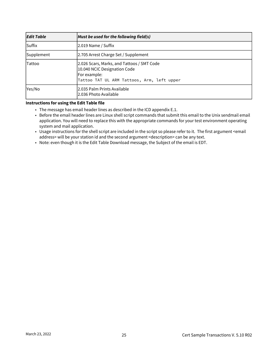| <b>Edit Table</b> | Must be used for the following field(s)                                                                                                     |
|-------------------|---------------------------------------------------------------------------------------------------------------------------------------------|
| lSuffix           | 2.019 Name / Suffix                                                                                                                         |
| Supplement        | 2.705 Arrest Charge Set / Supplement                                                                                                        |
| Tattoo            | 2.026 Scars, Marks, and Tattoos / SMT Code<br>10.040 NCIC Designation Code<br> For example:  <br>Tattoo TAT UL ARM Tattoos, Arm, left upper |
| Yes/No            | l2.035 Palm Prints Available<br>2.036 Photo Available                                                                                       |

#### **Instructions for using the Edit Table file**

- The message has email header lines as described in the ICD appendix E.1.
- Before the email header lines are Linux shell script commands that submit this email to the Unix sendmail email application. You will need to replace this with the appropriate commands for your test environment operating system and mail application.
- Usage instructions for the shell script are included in the script so please refer to it. The first argument <email address> will be your station id and the second argument <description> can be any text.
- Note: even though it is the Edit Table Download message, the Subject of the email is EDT.